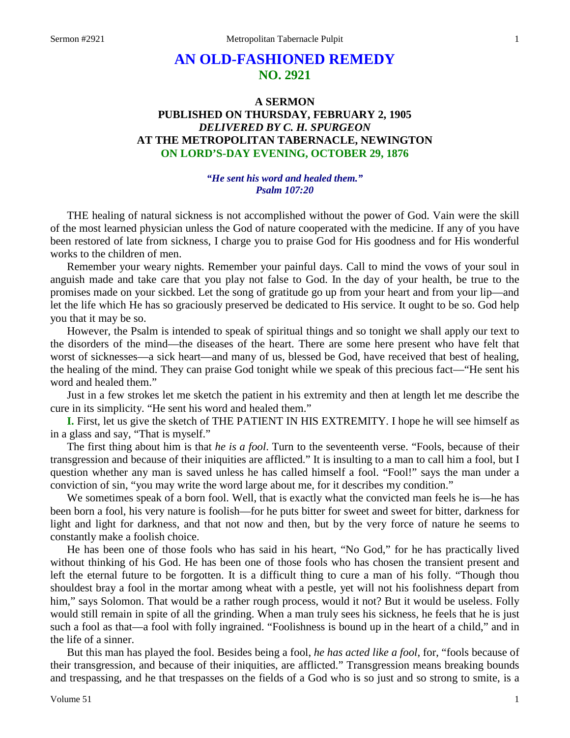# **AN OLD-FASHIONED REMEDY NO. 2921**

## **A SERMON PUBLISHED ON THURSDAY, FEBRUARY 2, 1905** *DELIVERED BY C. H. SPURGEON* **AT THE METROPOLITAN TABERNACLE, NEWINGTON ON LORD'S-DAY EVENING, OCTOBER 29, 1876**

#### *"He sent his word and healed them." Psalm 107:20*

THE healing of natural sickness is not accomplished without the power of God. Vain were the skill of the most learned physician unless the God of nature cooperated with the medicine. If any of you have been restored of late from sickness, I charge you to praise God for His goodness and for His wonderful works to the children of men.

Remember your weary nights. Remember your painful days. Call to mind the vows of your soul in anguish made and take care that you play not false to God. In the day of your health, be true to the promises made on your sickbed. Let the song of gratitude go up from your heart and from your lip—and let the life which He has so graciously preserved be dedicated to His service. It ought to be so. God help you that it may be so.

However, the Psalm is intended to speak of spiritual things and so tonight we shall apply our text to the disorders of the mind—the diseases of the heart. There are some here present who have felt that worst of sicknesses—a sick heart—and many of us, blessed be God, have received that best of healing, the healing of the mind. They can praise God tonight while we speak of this precious fact—"He sent his word and healed them."

Just in a few strokes let me sketch the patient in his extremity and then at length let me describe the cure in its simplicity. "He sent his word and healed them."

**I.** First, let us give the sketch of THE PATIENT IN HIS EXTREMITY. I hope he will see himself as in a glass and say, "That is myself."

The first thing about him is that *he is a fool*. Turn to the seventeenth verse. "Fools, because of their transgression and because of their iniquities are afflicted." It is insulting to a man to call him a fool, but I question whether any man is saved unless he has called himself a fool. "Fool!" says the man under a conviction of sin, "you may write the word large about me, for it describes my condition."

We sometimes speak of a born fool. Well, that is exactly what the convicted man feels he is—he has been born a fool, his very nature is foolish—for he puts bitter for sweet and sweet for bitter, darkness for light and light for darkness, and that not now and then, but by the very force of nature he seems to constantly make a foolish choice.

He has been one of those fools who has said in his heart, "No God," for he has practically lived without thinking of his God. He has been one of those fools who has chosen the transient present and left the eternal future to be forgotten. It is a difficult thing to cure a man of his folly. "Though thou shouldest bray a fool in the mortar among wheat with a pestle, yet will not his foolishness depart from him," says Solomon. That would be a rather rough process, would it not? But it would be useless. Folly would still remain in spite of all the grinding. When a man truly sees his sickness, he feels that he is just such a fool as that—a fool with folly ingrained. "Foolishness is bound up in the heart of a child," and in the life of a sinner.

But this man has played the fool. Besides being a fool, *he has acted like a fool*, for, "fools because of their transgression, and because of their iniquities, are afflicted." Transgression means breaking bounds and trespassing, and he that trespasses on the fields of a God who is so just and so strong to smite, is a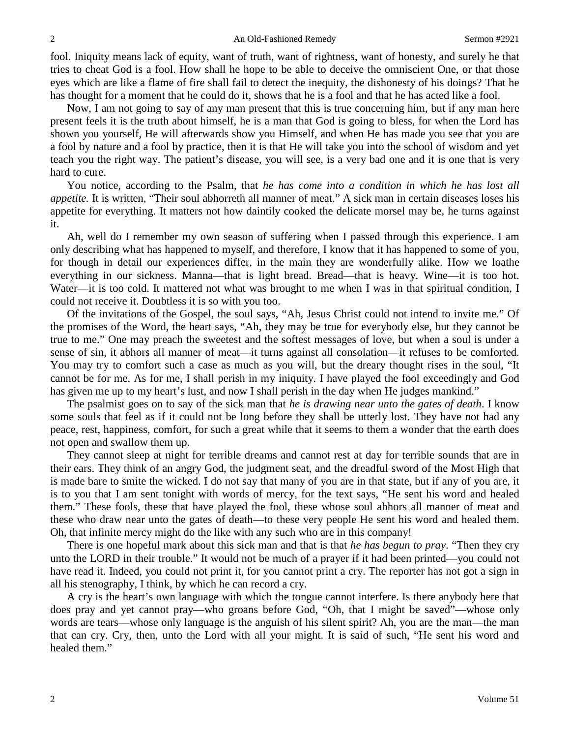fool. Iniquity means lack of equity, want of truth, want of rightness, want of honesty, and surely he that tries to cheat God is a fool. How shall he hope to be able to deceive the omniscient One, or that those eyes which are like a flame of fire shall fail to detect the inequity, the dishonesty of his doings? That he has thought for a moment that he could do it, shows that he is a fool and that he has acted like a fool.

Now, I am not going to say of any man present that this is true concerning him, but if any man here present feels it is the truth about himself, he is a man that God is going to bless, for when the Lord has shown you yourself, He will afterwards show you Himself, and when He has made you see that you are a fool by nature and a fool by practice, then it is that He will take you into the school of wisdom and yet teach you the right way. The patient's disease, you will see, is a very bad one and it is one that is very hard to cure.

You notice, according to the Psalm, that *he has come into a condition in which he has lost all appetite.* It is written, "Their soul abhorreth all manner of meat." A sick man in certain diseases loses his appetite for everything. It matters not how daintily cooked the delicate morsel may be, he turns against it.

Ah, well do I remember my own season of suffering when I passed through this experience. I am only describing what has happened to myself, and therefore, I know that it has happened to some of you, for though in detail our experiences differ, in the main they are wonderfully alike. How we loathe everything in our sickness. Manna—that is light bread. Bread—that is heavy. Wine—it is too hot. Water—it is too cold. It mattered not what was brought to me when I was in that spiritual condition, I could not receive it. Doubtless it is so with you too.

Of the invitations of the Gospel, the soul says, "Ah, Jesus Christ could not intend to invite me." Of the promises of the Word, the heart says, "Ah, they may be true for everybody else, but they cannot be true to me." One may preach the sweetest and the softest messages of love, but when a soul is under a sense of sin, it abhors all manner of meat—it turns against all consolation—it refuses to be comforted. You may try to comfort such a case as much as you will, but the dreary thought rises in the soul, "It cannot be for me. As for me, I shall perish in my iniquity. I have played the fool exceedingly and God has given me up to my heart's lust, and now I shall perish in the day when He judges mankind."

The psalmist goes on to say of the sick man that *he is drawing near unto the gates of death*. I know some souls that feel as if it could not be long before they shall be utterly lost. They have not had any peace, rest, happiness, comfort, for such a great while that it seems to them a wonder that the earth does not open and swallow them up.

They cannot sleep at night for terrible dreams and cannot rest at day for terrible sounds that are in their ears. They think of an angry God, the judgment seat, and the dreadful sword of the Most High that is made bare to smite the wicked. I do not say that many of you are in that state, but if any of you are, it is to you that I am sent tonight with words of mercy, for the text says, "He sent his word and healed them." These fools, these that have played the fool, these whose soul abhors all manner of meat and these who draw near unto the gates of death—to these very people He sent his word and healed them. Oh, that infinite mercy might do the like with any such who are in this company!

There is one hopeful mark about this sick man and that is that *he has begun to pray*. "Then they cry unto the LORD in their trouble." It would not be much of a prayer if it had been printed—you could not have read it. Indeed, you could not print it, for you cannot print a cry. The reporter has not got a sign in all his stenography, I think, by which he can record a cry.

A cry is the heart's own language with which the tongue cannot interfere. Is there anybody here that does pray and yet cannot pray—who groans before God, "Oh, that I might be saved"—whose only words are tears—whose only language is the anguish of his silent spirit? Ah, you are the man—the man that can cry. Cry, then, unto the Lord with all your might. It is said of such, "He sent his word and healed them."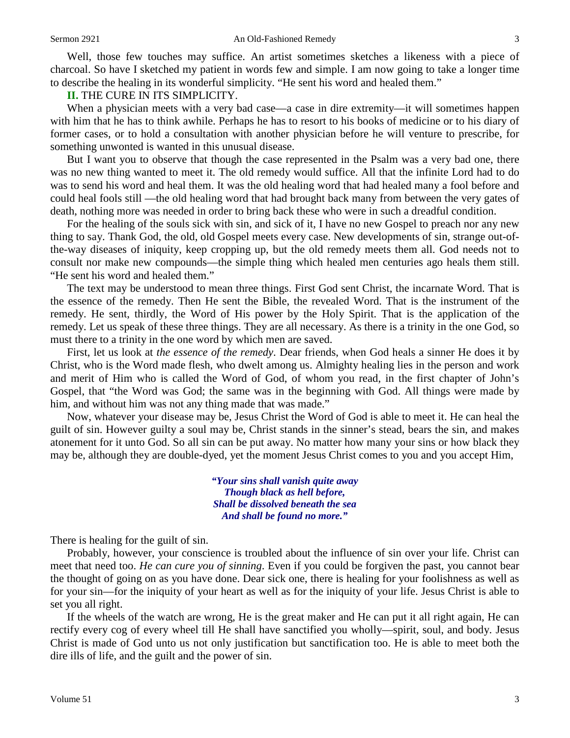Well, those few touches may suffice. An artist sometimes sketches a likeness with a piece of charcoal. So have I sketched my patient in words few and simple. I am now going to take a longer time to describe the healing in its wonderful simplicity. "He sent his word and healed them."

#### **II.** THE CURE IN ITS SIMPLICITY.

When a physician meets with a very bad case—a case in dire extremity—it will sometimes happen with him that he has to think awhile. Perhaps he has to resort to his books of medicine or to his diary of former cases, or to hold a consultation with another physician before he will venture to prescribe, for something unwonted is wanted in this unusual disease.

But I want you to observe that though the case represented in the Psalm was a very bad one, there was no new thing wanted to meet it. The old remedy would suffice. All that the infinite Lord had to do was to send his word and heal them. It was the old healing word that had healed many a fool before and could heal fools still —the old healing word that had brought back many from between the very gates of death, nothing more was needed in order to bring back these who were in such a dreadful condition.

For the healing of the souls sick with sin, and sick of it, I have no new Gospel to preach nor any new thing to say. Thank God, the old, old Gospel meets every case. New developments of sin, strange out-ofthe-way diseases of iniquity, keep cropping up, but the old remedy meets them all. God needs not to consult nor make new compounds—the simple thing which healed men centuries ago heals them still. "He sent his word and healed them."

The text may be understood to mean three things. First God sent Christ, the incarnate Word. That is the essence of the remedy. Then He sent the Bible, the revealed Word. That is the instrument of the remedy. He sent, thirdly, the Word of His power by the Holy Spirit. That is the application of the remedy. Let us speak of these three things. They are all necessary. As there is a trinity in the one God, so must there to a trinity in the one word by which men are saved.

First, let us look at *the essence of the remedy*. Dear friends, when God heals a sinner He does it by Christ, who is the Word made flesh, who dwelt among us. Almighty healing lies in the person and work and merit of Him who is called the Word of God, of whom you read, in the first chapter of John's Gospel, that "the Word was God; the same was in the beginning with God. All things were made by him, and without him was not any thing made that was made."

Now, whatever your disease may be, Jesus Christ the Word of God is able to meet it. He can heal the guilt of sin. However guilty a soul may be, Christ stands in the sinner's stead, bears the sin, and makes atonement for it unto God. So all sin can be put away. No matter how many your sins or how black they may be, although they are double-dyed, yet the moment Jesus Christ comes to you and you accept Him,

> *"Your sins shall vanish quite away Though black as hell before, Shall be dissolved beneath the sea And shall be found no more."*

There is healing for the guilt of sin.

Probably, however, your conscience is troubled about the influence of sin over your life. Christ can meet that need too. *He can cure you of sinning*. Even if you could be forgiven the past, you cannot bear the thought of going on as you have done. Dear sick one, there is healing for your foolishness as well as for your sin—for the iniquity of your heart as well as for the iniquity of your life. Jesus Christ is able to set you all right.

If the wheels of the watch are wrong, He is the great maker and He can put it all right again, He can rectify every cog of every wheel till He shall have sanctified you wholly—spirit, soul, and body. Jesus Christ is made of God unto us not only justification but sanctification too. He is able to meet both the dire ills of life, and the guilt and the power of sin.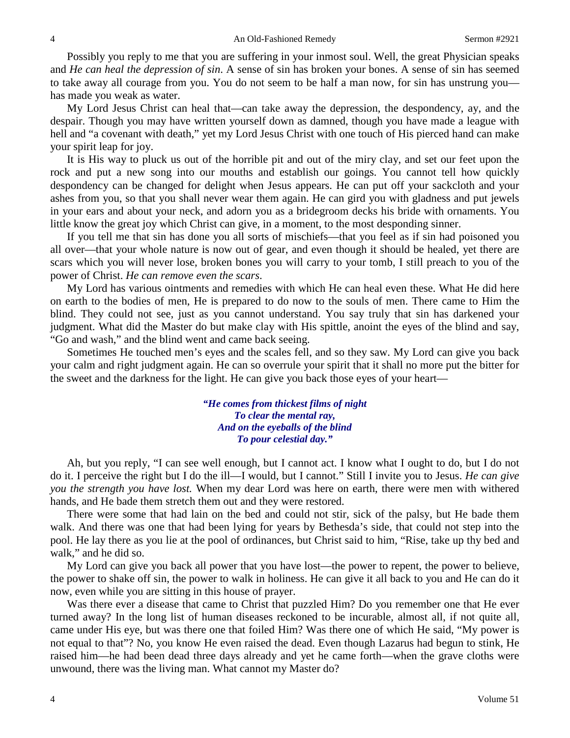Possibly you reply to me that you are suffering in your inmost soul. Well, the great Physician speaks and *He can heal the depression of sin*. A sense of sin has broken your bones. A sense of sin has seemed to take away all courage from you. You do not seem to be half a man now, for sin has unstrung you has made you weak as water.

My Lord Jesus Christ can heal that—can take away the depression, the despondency, ay, and the despair. Though you may have written yourself down as damned, though you have made a league with hell and "a covenant with death," yet my Lord Jesus Christ with one touch of His pierced hand can make your spirit leap for joy.

It is His way to pluck us out of the horrible pit and out of the miry clay, and set our feet upon the rock and put a new song into our mouths and establish our goings. You cannot tell how quickly despondency can be changed for delight when Jesus appears. He can put off your sackcloth and your ashes from you, so that you shall never wear them again. He can gird you with gladness and put jewels in your ears and about your neck, and adorn you as a bridegroom decks his bride with ornaments. You little know the great joy which Christ can give, in a moment, to the most desponding sinner.

If you tell me that sin has done you all sorts of mischiefs—that you feel as if sin had poisoned you all over—that your whole nature is now out of gear, and even though it should be healed, yet there are scars which you will never lose, broken bones you will carry to your tomb, I still preach to you of the power of Christ. *He can remove even the scars*.

My Lord has various ointments and remedies with which He can heal even these. What He did here on earth to the bodies of men, He is prepared to do now to the souls of men. There came to Him the blind. They could not see, just as you cannot understand. You say truly that sin has darkened your judgment. What did the Master do but make clay with His spittle, anoint the eyes of the blind and say, "Go and wash," and the blind went and came back seeing.

Sometimes He touched men's eyes and the scales fell, and so they saw. My Lord can give you back your calm and right judgment again. He can so overrule your spirit that it shall no more put the bitter for the sweet and the darkness for the light. He can give you back those eyes of your heart—

> *"He comes from thickest films of night To clear the mental ray, And on the eyeballs of the blind To pour celestial day."*

Ah, but you reply, "I can see well enough, but I cannot act. I know what I ought to do, but I do not do it. I perceive the right but I do the ill—I would, but I cannot." Still I invite you to Jesus. *He can give you the strength you have lost.* When my dear Lord was here on earth, there were men with withered hands, and He bade them stretch them out and they were restored.

There were some that had lain on the bed and could not stir, sick of the palsy, but He bade them walk. And there was one that had been lying for years by Bethesda's side, that could not step into the pool. He lay there as you lie at the pool of ordinances, but Christ said to him, "Rise, take up thy bed and walk," and he did so.

My Lord can give you back all power that you have lost—the power to repent, the power to believe, the power to shake off sin, the power to walk in holiness. He can give it all back to you and He can do it now, even while you are sitting in this house of prayer.

Was there ever a disease that came to Christ that puzzled Him? Do you remember one that He ever turned away? In the long list of human diseases reckoned to be incurable, almost all, if not quite all, came under His eye, but was there one that foiled Him? Was there one of which He said, "My power is not equal to that"? No, you know He even raised the dead. Even though Lazarus had begun to stink, He raised him—he had been dead three days already and yet he came forth—when the grave cloths were unwound, there was the living man. What cannot my Master do?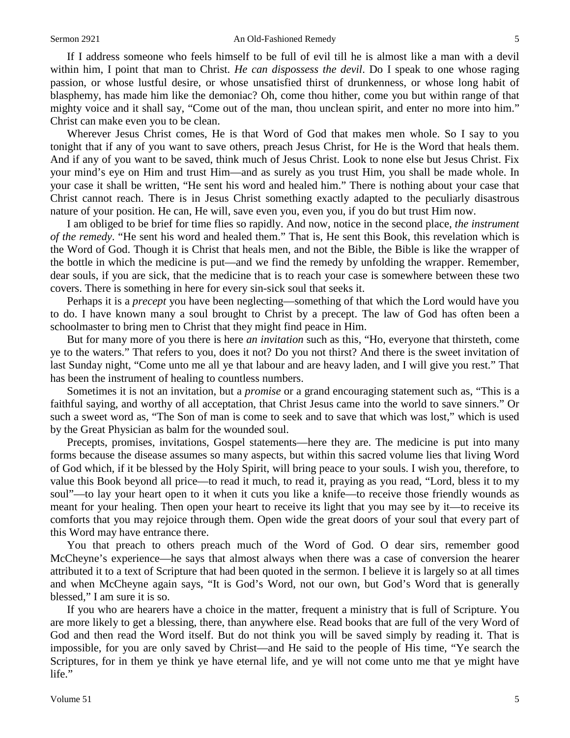If I address someone who feels himself to be full of evil till he is almost like a man with a devil within him, I point that man to Christ. *He can dispossess the devil*. Do I speak to one whose raging passion, or whose lustful desire, or whose unsatisfied thirst of drunkenness, or whose long habit of blasphemy, has made him like the demoniac? Oh, come thou hither, come you but within range of that mighty voice and it shall say, "Come out of the man, thou unclean spirit, and enter no more into him." Christ can make even you to be clean.

Wherever Jesus Christ comes, He is that Word of God that makes men whole. So I say to you tonight that if any of you want to save others, preach Jesus Christ, for He is the Word that heals them. And if any of you want to be saved, think much of Jesus Christ. Look to none else but Jesus Christ. Fix your mind's eye on Him and trust Him—and as surely as you trust Him, you shall be made whole. In your case it shall be written, "He sent his word and healed him." There is nothing about your case that Christ cannot reach. There is in Jesus Christ something exactly adapted to the peculiarly disastrous nature of your position. He can, He will, save even you, even you, if you do but trust Him now.

I am obliged to be brief for time flies so rapidly. And now, notice in the second place, *the instrument of the remedy*. "He sent his word and healed them." That is, He sent this Book, this revelation which is the Word of God. Though it is Christ that heals men, and not the Bible, the Bible is like the wrapper of the bottle in which the medicine is put—and we find the remedy by unfolding the wrapper. Remember, dear souls, if you are sick, that the medicine that is to reach your case is somewhere between these two covers. There is something in here for every sin-sick soul that seeks it.

Perhaps it is a *precept* you have been neglecting—something of that which the Lord would have you to do. I have known many a soul brought to Christ by a precept. The law of God has often been a schoolmaster to bring men to Christ that they might find peace in Him.

But for many more of you there is here *an invitation* such as this, "Ho, everyone that thirsteth, come ye to the waters." That refers to you, does it not? Do you not thirst? And there is the sweet invitation of last Sunday night, "Come unto me all ye that labour and are heavy laden, and I will give you rest." That has been the instrument of healing to countless numbers.

Sometimes it is not an invitation, but a *promise* or a grand encouraging statement such as, "This is a faithful saying, and worthy of all acceptation, that Christ Jesus came into the world to save sinners." Or such a sweet word as, "The Son of man is come to seek and to save that which was lost," which is used by the Great Physician as balm for the wounded soul.

Precepts, promises, invitations, Gospel statements—here they are. The medicine is put into many forms because the disease assumes so many aspects, but within this sacred volume lies that living Word of God which, if it be blessed by the Holy Spirit, will bring peace to your souls. I wish you, therefore, to value this Book beyond all price—to read it much, to read it, praying as you read, "Lord, bless it to my soul"—to lay your heart open to it when it cuts you like a knife—to receive those friendly wounds as meant for your healing. Then open your heart to receive its light that you may see by it—to receive its comforts that you may rejoice through them. Open wide the great doors of your soul that every part of this Word may have entrance there.

You that preach to others preach much of the Word of God. O dear sirs, remember good McCheyne's experience—he says that almost always when there was a case of conversion the hearer attributed it to a text of Scripture that had been quoted in the sermon. I believe it is largely so at all times and when McCheyne again says, "It is God's Word, not our own, but God's Word that is generally blessed," I am sure it is so.

If you who are hearers have a choice in the matter, frequent a ministry that is full of Scripture. You are more likely to get a blessing, there, than anywhere else. Read books that are full of the very Word of God and then read the Word itself. But do not think you will be saved simply by reading it. That is impossible, for you are only saved by Christ—and He said to the people of His time, "Ye search the Scriptures, for in them ye think ye have eternal life, and ye will not come unto me that ye might have life."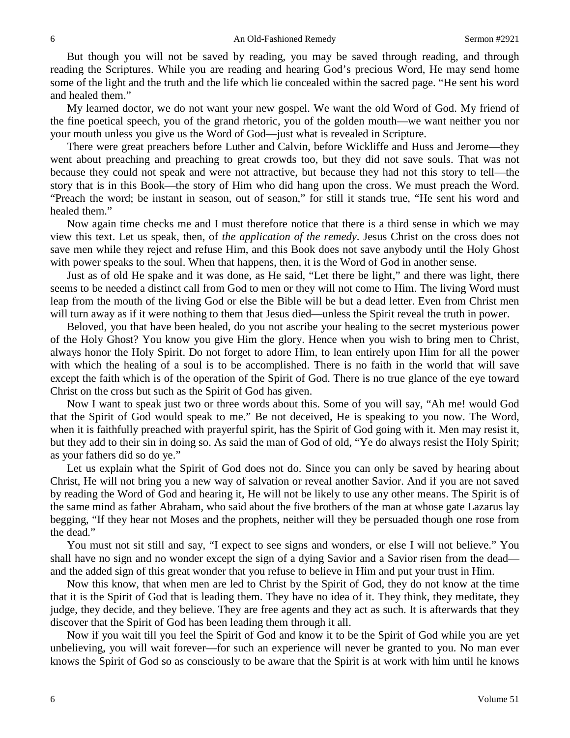But though you will not be saved by reading, you may be saved through reading, and through reading the Scriptures. While you are reading and hearing God's precious Word, He may send home some of the light and the truth and the life which lie concealed within the sacred page. "He sent his word and healed them."

My learned doctor, we do not want your new gospel. We want the old Word of God. My friend of the fine poetical speech, you of the grand rhetoric, you of the golden mouth—we want neither you nor your mouth unless you give us the Word of God—just what is revealed in Scripture.

There were great preachers before Luther and Calvin, before Wickliffe and Huss and Jerome—they went about preaching and preaching to great crowds too, but they did not save souls. That was not because they could not speak and were not attractive, but because they had not this story to tell—the story that is in this Book—the story of Him who did hang upon the cross. We must preach the Word. "Preach the word; be instant in season, out of season," for still it stands true, "He sent his word and healed them."

Now again time checks me and I must therefore notice that there is a third sense in which we may view this text. Let us speak, then, of *the application of the remedy*. Jesus Christ on the cross does not save men while they reject and refuse Him, and this Book does not save anybody until the Holy Ghost with power speaks to the soul. When that happens, then, it is the Word of God in another sense.

Just as of old He spake and it was done, as He said, "Let there be light," and there was light, there seems to be needed a distinct call from God to men or they will not come to Him. The living Word must leap from the mouth of the living God or else the Bible will be but a dead letter. Even from Christ men will turn away as if it were nothing to them that Jesus died—unless the Spirit reveal the truth in power.

Beloved, you that have been healed, do you not ascribe your healing to the secret mysterious power of the Holy Ghost? You know you give Him the glory. Hence when you wish to bring men to Christ, always honor the Holy Spirit. Do not forget to adore Him, to lean entirely upon Him for all the power with which the healing of a soul is to be accomplished. There is no faith in the world that will save except the faith which is of the operation of the Spirit of God. There is no true glance of the eye toward Christ on the cross but such as the Spirit of God has given.

Now I want to speak just two or three words about this. Some of you will say, "Ah me! would God that the Spirit of God would speak to me." Be not deceived, He is speaking to you now. The Word, when it is faithfully preached with prayerful spirit, has the Spirit of God going with it. Men may resist it, but they add to their sin in doing so. As said the man of God of old, "Ye do always resist the Holy Spirit; as your fathers did so do ye."

Let us explain what the Spirit of God does not do. Since you can only be saved by hearing about Christ, He will not bring you a new way of salvation or reveal another Savior. And if you are not saved by reading the Word of God and hearing it, He will not be likely to use any other means. The Spirit is of the same mind as father Abraham, who said about the five brothers of the man at whose gate Lazarus lay begging, "If they hear not Moses and the prophets, neither will they be persuaded though one rose from the dead."

You must not sit still and say, "I expect to see signs and wonders, or else I will not believe." You shall have no sign and no wonder except the sign of a dying Savior and a Savior risen from the dead and the added sign of this great wonder that you refuse to believe in Him and put your trust in Him.

Now this know, that when men are led to Christ by the Spirit of God, they do not know at the time that it is the Spirit of God that is leading them. They have no idea of it. They think, they meditate, they judge, they decide, and they believe. They are free agents and they act as such. It is afterwards that they discover that the Spirit of God has been leading them through it all.

Now if you wait till you feel the Spirit of God and know it to be the Spirit of God while you are yet unbelieving, you will wait forever—for such an experience will never be granted to you. No man ever knows the Spirit of God so as consciously to be aware that the Spirit is at work with him until he knows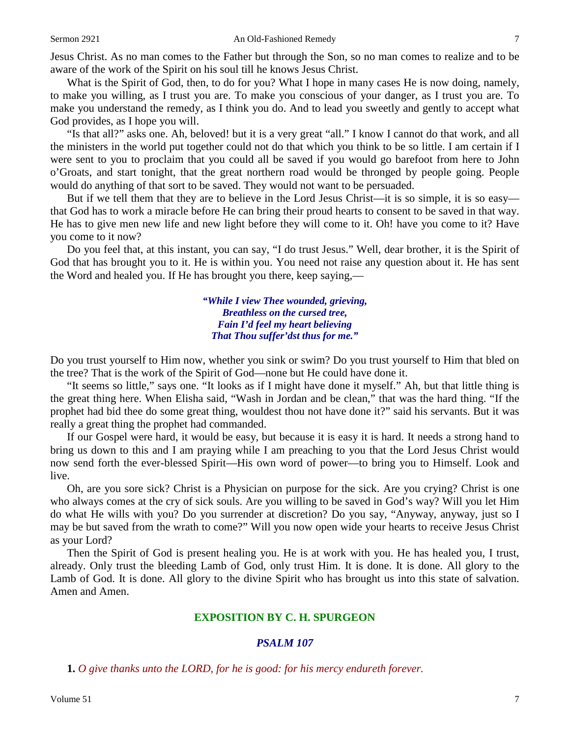Jesus Christ. As no man comes to the Father but through the Son, so no man comes to realize and to be aware of the work of the Spirit on his soul till he knows Jesus Christ.

What is the Spirit of God, then, to do for you? What I hope in many cases He is now doing, namely, to make you willing, as I trust you are. To make you conscious of your danger, as I trust you are. To make you understand the remedy, as I think you do. And to lead you sweetly and gently to accept what God provides, as I hope you will.

"Is that all?" asks one. Ah, beloved! but it is a very great "all." I know I cannot do that work, and all the ministers in the world put together could not do that which you think to be so little. I am certain if I were sent to you to proclaim that you could all be saved if you would go barefoot from here to John o'Groats, and start tonight, that the great northern road would be thronged by people going. People would do anything of that sort to be saved. They would not want to be persuaded.

But if we tell them that they are to believe in the Lord Jesus Christ—it is so simple, it is so easy that God has to work a miracle before He can bring their proud hearts to consent to be saved in that way. He has to give men new life and new light before they will come to it. Oh! have you come to it? Have you come to it now?

Do you feel that, at this instant, you can say, "I do trust Jesus." Well, dear brother, it is the Spirit of God that has brought you to it. He is within you. You need not raise any question about it. He has sent the Word and healed you. If He has brought you there, keep saying,—

> *"While I view Thee wounded, grieving, Breathless on the cursed tree, Fain I'd feel my heart believing That Thou suffer'dst thus for me."*

Do you trust yourself to Him now, whether you sink or swim? Do you trust yourself to Him that bled on the tree? That is the work of the Spirit of God—none but He could have done it.

"It seems so little," says one. "It looks as if I might have done it myself." Ah, but that little thing is the great thing here. When Elisha said, "Wash in Jordan and be clean," that was the hard thing. "If the prophet had bid thee do some great thing, wouldest thou not have done it?" said his servants. But it was really a great thing the prophet had commanded.

If our Gospel were hard, it would be easy, but because it is easy it is hard. It needs a strong hand to bring us down to this and I am praying while I am preaching to you that the Lord Jesus Christ would now send forth the ever-blessed Spirit—His own word of power—to bring you to Himself. Look and live.

Oh, are you sore sick? Christ is a Physician on purpose for the sick. Are you crying? Christ is one who always comes at the cry of sick souls. Are you willing to be saved in God's way? Will you let Him do what He wills with you? Do you surrender at discretion? Do you say, "Anyway, anyway, just so I may be but saved from the wrath to come?" Will you now open wide your hearts to receive Jesus Christ as your Lord?

Then the Spirit of God is present healing you. He is at work with you. He has healed you, I trust, already. Only trust the bleeding Lamb of God, only trust Him. It is done. It is done. All glory to the Lamb of God. It is done. All glory to the divine Spirit who has brought us into this state of salvation. Amen and Amen.

#### **EXPOSITION BY C. H. SPURGEON**

### *PSALM 107*

**1.** *O give thanks unto the LORD, for he is good: for his mercy endureth forever.*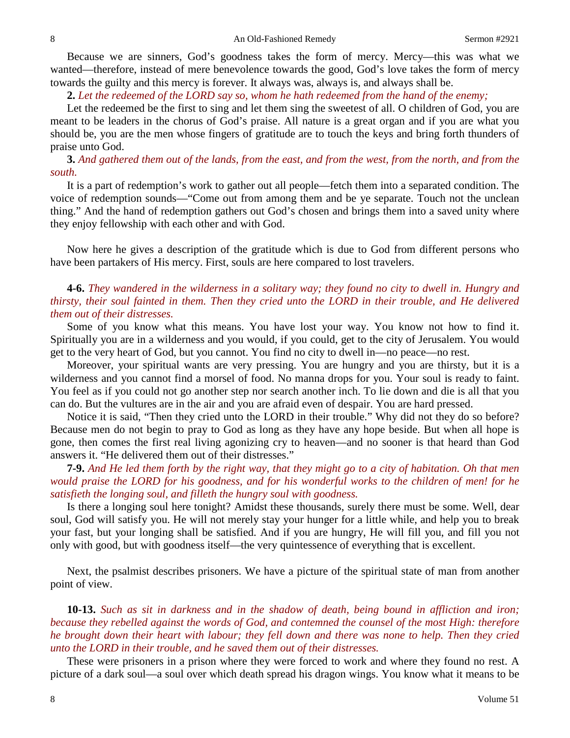Because we are sinners, God's goodness takes the form of mercy. Mercy—this was what we wanted—therefore, instead of mere benevolence towards the good, God's love takes the form of mercy towards the guilty and this mercy is forever. It always was, always is, and always shall be.

**2.** *Let the redeemed of the LORD say so, whom he hath redeemed from the hand of the enemy;*

Let the redeemed be the first to sing and let them sing the sweetest of all. O children of God, you are meant to be leaders in the chorus of God's praise. All nature is a great organ and if you are what you should be, you are the men whose fingers of gratitude are to touch the keys and bring forth thunders of praise unto God.

**3.** *And gathered them out of the lands, from the east, and from the west, from the north, and from the south.*

It is a part of redemption's work to gather out all people—fetch them into a separated condition. The voice of redemption sounds—"Come out from among them and be ye separate. Touch not the unclean thing." And the hand of redemption gathers out God's chosen and brings them into a saved unity where they enjoy fellowship with each other and with God.

Now here he gives a description of the gratitude which is due to God from different persons who have been partakers of His mercy. First, souls are here compared to lost travelers.

## **4-6.** *They wandered in the wilderness in a solitary way; they found no city to dwell in. Hungry and thirsty, their soul fainted in them. Then they cried unto the LORD in their trouble, and He delivered them out of their distresses.*

Some of you know what this means. You have lost your way. You know not how to find it. Spiritually you are in a wilderness and you would, if you could, get to the city of Jerusalem. You would get to the very heart of God, but you cannot. You find no city to dwell in—no peace—no rest.

Moreover, your spiritual wants are very pressing. You are hungry and you are thirsty, but it is a wilderness and you cannot find a morsel of food. No manna drops for you. Your soul is ready to faint. You feel as if you could not go another step nor search another inch. To lie down and die is all that you can do. But the vultures are in the air and you are afraid even of despair. You are hard pressed.

Notice it is said, "Then they cried unto the LORD in their trouble." Why did not they do so before? Because men do not begin to pray to God as long as they have any hope beside. But when all hope is gone, then comes the first real living agonizing cry to heaven—and no sooner is that heard than God answers it. "He delivered them out of their distresses."

**7-9.** *And He led them forth by the right way, that they might go to a city of habitation. Oh that men would praise the LORD for his goodness, and for his wonderful works to the children of men! for he satisfieth the longing soul, and filleth the hungry soul with goodness.* 

Is there a longing soul here tonight? Amidst these thousands, surely there must be some. Well, dear soul, God will satisfy you. He will not merely stay your hunger for a little while, and help you to break your fast, but your longing shall be satisfied. And if you are hungry, He will fill you, and fill you not only with good, but with goodness itself—the very quintessence of everything that is excellent.

Next, the psalmist describes prisoners. We have a picture of the spiritual state of man from another point of view.

**10-13.** *Such as sit in darkness and in the shadow of death, being bound in affliction and iron; because they rebelled against the words of God, and contemned the counsel of the most High: therefore he brought down their heart with labour; they fell down and there was none to help. Then they cried unto the LORD in their trouble, and he saved them out of their distresses.* 

These were prisoners in a prison where they were forced to work and where they found no rest. A picture of a dark soul—a soul over which death spread his dragon wings. You know what it means to be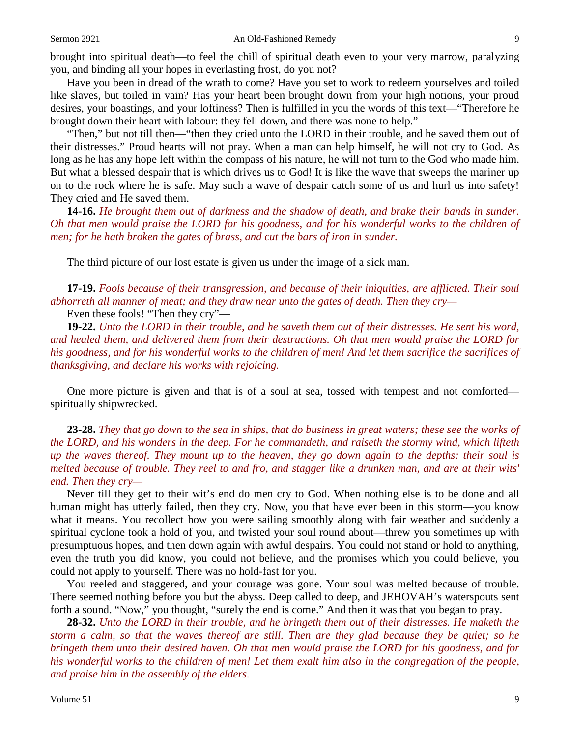brought into spiritual death—to feel the chill of spiritual death even to your very marrow, paralyzing you, and binding all your hopes in everlasting frost, do you not?

Have you been in dread of the wrath to come? Have you set to work to redeem yourselves and toiled like slaves, but toiled in vain? Has your heart been brought down from your high notions, your proud desires, your boastings, and your loftiness? Then is fulfilled in you the words of this text—"Therefore he brought down their heart with labour: they fell down, and there was none to help."

"Then," but not till then—"then they cried unto the LORD in their trouble, and he saved them out of their distresses." Proud hearts will not pray. When a man can help himself, he will not cry to God. As long as he has any hope left within the compass of his nature, he will not turn to the God who made him. But what a blessed despair that is which drives us to God! It is like the wave that sweeps the mariner up on to the rock where he is safe. May such a wave of despair catch some of us and hurl us into safety! They cried and He saved them.

**14-16.** *He brought them out of darkness and the shadow of death, and brake their bands in sunder. Oh that men would praise the LORD for his goodness, and for his wonderful works to the children of men; for he hath broken the gates of brass, and cut the bars of iron in sunder.*

The third picture of our lost estate is given us under the image of a sick man.

**17-19.** *Fools because of their transgression, and because of their iniquities, are afflicted. Their soul abhorreth all manner of meat; and they draw near unto the gates of death. Then they cry—*

Even these fools! "Then they cry"—

**19-22.** *Unto the LORD in their trouble, and he saveth them out of their distresses. He sent his word, and healed them, and delivered them from their destructions. Oh that men would praise the LORD for his goodness, and for his wonderful works to the children of men! And let them sacrifice the sacrifices of thanksgiving, and declare his works with rejoicing.*

One more picture is given and that is of a soul at sea, tossed with tempest and not comforted spiritually shipwrecked.

**23-28.** *They that go down to the sea in ships, that do business in great waters; these see the works of the LORD, and his wonders in the deep. For he commandeth, and raiseth the stormy wind, which lifteth up the waves thereof. They mount up to the heaven, they go down again to the depths: their soul is melted because of trouble. They reel to and fro, and stagger like a drunken man, and are at their wits' end. Then they cry—*

Never till they get to their wit's end do men cry to God. When nothing else is to be done and all human might has utterly failed, then they cry. Now, you that have ever been in this storm—you know what it means. You recollect how you were sailing smoothly along with fair weather and suddenly a spiritual cyclone took a hold of you, and twisted your soul round about—threw you sometimes up with presumptuous hopes, and then down again with awful despairs. You could not stand or hold to anything, even the truth you did know, you could not believe, and the promises which you could believe, you could not apply to yourself. There was no hold-fast for you.

You reeled and staggered, and your courage was gone. Your soul was melted because of trouble. There seemed nothing before you but the abyss. Deep called to deep, and JEHOVAH's waterspouts sent forth a sound. "Now," you thought, "surely the end is come." And then it was that you began to pray.

**28-32.** *Unto the LORD in their trouble, and he bringeth them out of their distresses. He maketh the storm a calm, so that the waves thereof are still. Then are they glad because they be quiet; so he bringeth them unto their desired haven. Oh that men would praise the LORD for his goodness, and for his wonderful works to the children of men! Let them exalt him also in the congregation of the people, and praise him in the assembly of the elders.*